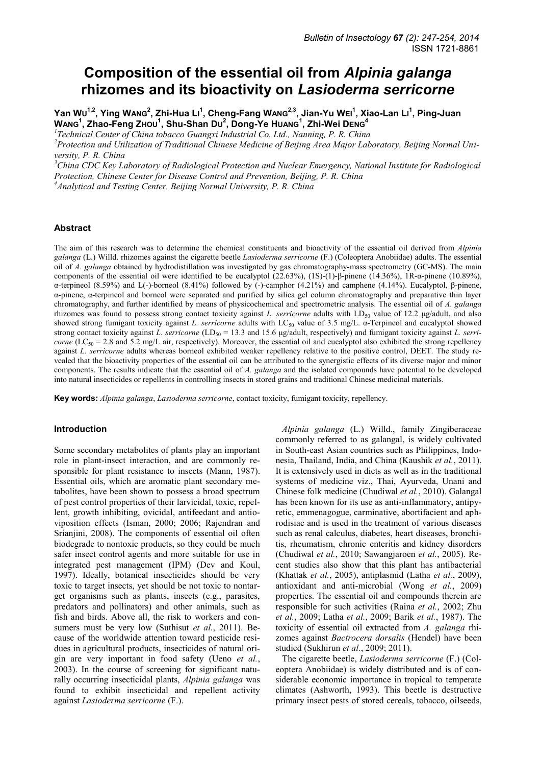# **Composition of the essential oil from** *Alpinia galanga* **rhizomes and its bioactivity on** *Lasioderma serricorne*

Yan W∪<sup>1,2</sup>, Ying WANG<sup>2</sup>, Zhi-Hua Lı<sup>1</sup>, Cheng-Fang WANG<sup>2,3</sup>, Jian-Yu WEı<sup>1</sup>, Xiao-Lan Lı<sup>1</sup>, Ping-Juan **WANG<sup>1</sup> , Zhao-Feng ZHOU<sup>1</sup> , Shu-Shan DU 2 , Dong-Ye HUANG<sup>1</sup> , Zhi-Wei DENG<sup>4</sup>**

<sup>1</sup> Technical Center of China tobacco Guangxi Industrial Co. Ltd., Nanning, P. R. China

*<sup>2</sup>Protection and Utilization of Traditional Chinese Medicine of Beijing Area Major Laboratory, Beijing Normal University, P. R. China* 

*<sup>3</sup>China CDC Key Laboratory of Radiological Protection and Nuclear Emergency, National Institute for Radiological Protection, Chinese Center for Disease Control and Prevention, Beijing, P. R. China <sup>4</sup>Analytical and Testing Center, Beijing Normal University, P. R. China* 

#### **Abstract**

The aim of this research was to determine the chemical constituents and bioactivity of the essential oil derived from *Alpinia galanga* (L.) Willd. rhizomes against the cigarette beetle *Lasioderma serricorne* (F.) (Coleoptera Anobiidae) adults. The essential oil of *A. galanga* obtained by hydrodistillation was investigated by gas chromatography-mass spectrometry (GC-MS). The main components of the essential oil were identified to be eucalyptol (22.63%), (1S)-(1)-β-pinene (14.36%), 1R-α-pinene (10.89%), α-terpineol (8.59%) and L(-)-borneol (8.41%) followed by (-)-camphor (4.21%) and camphene (4.14%). Eucalyptol, β-pinene, α-pinene, α-terpineol and borneol were separated and purified by silica gel column chromatography and preparative thin layer chromatography, and further identified by means of physicochemical and spectrometric analysis. The essential oil of *A. galanga* rhizomes was found to possess strong contact toxicity against *L. serricorne* adults with LD<sub>50</sub> value of 12.2 μg/adult, and also showed strong fumigant toxicity against *L. serricorne* adults with LC<sub>50</sub> value of 3.5 mg/L. α-Terpineol and eucalyptol showed strong contact toxicity against *L. serricorne* (LD<sub>50</sub> = 13.3 and 15.6 μg/adult, respectively) and fumigant toxicity against *L. serricorne* (LC<sub>50</sub> = 2.8 and 5.2 mg/L air, respectively). Moreover, the essential oil and eucalyptol also exhibited the strong repellency against *L. serricorne* adults whereas borneol exhibited weaker repellency relative to the positive control, DEET. The study revealed that the bioactivity properties of the essential oil can be attributed to the synergistic effects of its diverse major and minor components. The results indicate that the essential oil of *A. galanga* and the isolated compounds have potential to be developed into natural insecticides or repellents in controlling insects in stored grains and traditional Chinese medicinal materials.

**Key words:** *Alpinia galanga*, *Lasioderma serricorne*, contact toxicity, fumigant toxicity, repellency.

#### **Introduction**

Some secondary metabolites of plants play an important role in plant-insect interaction, and are commonly responsible for plant resistance to insects (Mann, 1987). Essential oils, which are aromatic plant secondary metabolites, have been shown to possess a broad spectrum of pest control properties of their larvicidal, toxic, repellent, growth inhibiting, ovicidal, antifeedant and antioviposition effects (Isman, 2000; 2006; Rajendran and Srianjini, 2008). The components of essential oil often biodegrade to nontoxic products, so they could be much safer insect control agents and more suitable for use in integrated pest management (IPM) (Dev and Koul, 1997). Ideally, botanical insecticides should be very toxic to target insects, yet should be not toxic to nontarget organisms such as plants, insects (e.g., parasites, predators and pollinators) and other animals, such as fish and birds. Above all, the risk to workers and consumers must be very low (Suthisut *et al.*, 2011). Because of the worldwide attention toward pesticide residues in agricultural products, insecticides of natural origin are very important in food safety (Ueno *et al.*, 2003). In the course of screening for significant naturally occurring insecticidal plants, *Alpinia galanga* was found to exhibit insecticidal and repellent activity against *Lasioderma serricorne* (F.).

*Alpinia galanga* (L.) Willd., family Zingiberaceae commonly referred to as galangal, is widely cultivated in South-east Asian countries such as Philippines, Indonesia, Thailand, India, and China (Kaushik *et al.*, 2011). It is extensively used in diets as well as in the traditional systems of medicine viz., Thai, Ayurveda, Unani and Chinese folk medicine (Chudiwal *et al.*, 2010). Galangal has been known for its use as anti-inflammatory, antipyretic, emmenagogue, carminative, abortifacient and aphrodisiac and is used in the treatment of various diseases such as renal calculus, diabetes, heart diseases, bronchitis, rheumatism, chronic enteritis and kidney disorders (Chudiwal *et al.*, 2010; Sawangjaroen *et al.*, 2005). Recent studies also show that this plant has antibacterial (Khattak *et al.*, 2005), antiplasmid (Latha *et al.*, 2009), antioxidant and anti-microbial (Wong *et al.*, 2009) properties. The essential oil and compounds therein are responsible for such activities (Raina *et al.*, 2002; Zhu *et al.*, 2009; Latha *et al.*, 2009; Barik *et al.*, 1987). The toxicity of essential oil extracted from *A. galanga* rhizomes against *Bactrocera dorsalis* (Hendel) have been studied (Sukhirun *et al.*, 2009; 2011).

The cigarette beetle, *Lasioderma serricorne* (F.) (Coleoptera Anobiidae) is widely distributed and is of considerable economic importance in tropical to temperate climates (Ashworth, 1993). This beetle is destructive primary insect pests of stored cereals, tobacco, oilseeds,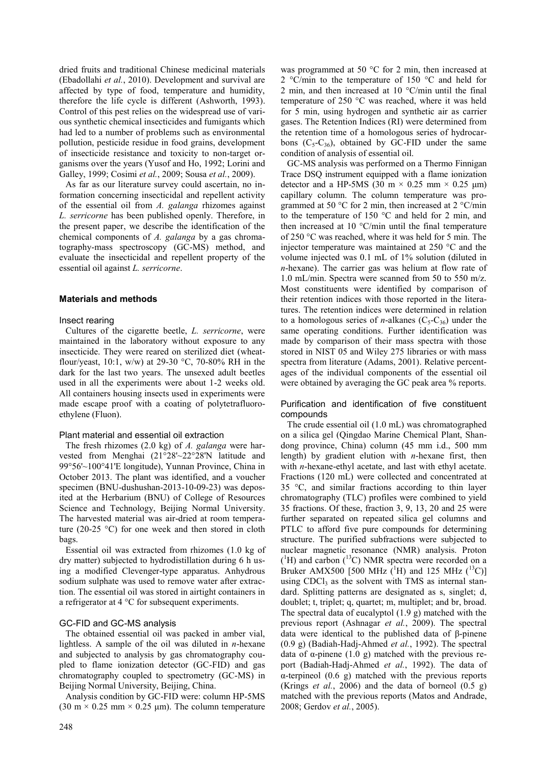dried fruits and traditional Chinese medicinal materials (Ebadollahi *et al.*, 2010). Development and survival are affected by type of food, temperature and humidity, therefore the life cycle is different (Ashworth, 1993). Control of this pest relies on the widespread use of various synthetic chemical insecticides and fumigants which had led to a number of problems such as environmental pollution, pesticide residue in food grains, development of insecticide resistance and toxicity to non-target organisms over the years (Yusof and Ho, 1992; Lorini and Galley, 1999; Cosimi *et al.*, 2009; Sousa *et al.*, 2009).

As far as our literature survey could ascertain, no information concerning insecticidal and repellent activity of the essential oil from *A. galanga* rhizomes against *L. serricorne* has been published openly. Therefore, in the present paper, we describe the identification of the chemical components of *A. galanga* by a gas chromatography-mass spectroscopy (GC-MS) method, and evaluate the insecticidal and repellent property of the essential oil against *L. serricorne*.

## **Materials and methods**

## Insect rearing

Cultures of the cigarette beetle, *L. serricorne*, were maintained in the laboratory without exposure to any insecticide. They were reared on sterilized diet (wheatflour/yeast, 10:1, w/w) at 29-30 °C, 70-80% RH in the dark for the last two years. The unsexed adult beetles used in all the experiments were about 1-2 weeks old. All containers housing insects used in experiments were made escape proof with a coating of polytetrafluoroethylene (Fluon).

#### Plant material and essential oil extraction

The fresh rhizomes (2.0 kg) of *A. galanga* were harvested from Menghai (21°28'~22°28'N latitude and 99°56'~100°41'E longitude), Yunnan Province, China in October 2013. The plant was identified, and a voucher specimen (BNU-dushushan-2013-10-09-23) was deposited at the Herbarium (BNU) of College of Resources Science and Technology, Beijing Normal University. The harvested material was air-dried at room temperature (20-25 °C) for one week and then stored in cloth bags.

Essential oil was extracted from rhizomes (1.0 kg of dry matter) subjected to hydrodistillation during 6 h using a modified Clevenger-type apparatus. Anhydrous sodium sulphate was used to remove water after extraction. The essential oil was stored in airtight containers in a refrigerator at 4 °C for subsequent experiments.

## GC-FID and GC-MS analysis

The obtained essential oil was packed in amber vial, lightless. A sample of the oil was diluted in *n*-hexane and subjected to analysis by gas chromatography coupled to flame ionization detector (GC-FID) and gas chromatography coupled to spectrometry (GC-MS) in Beijing Normal University, Beijing, China.

Analysis condition by GC-FID were: column HP-5MS (30 m  $\times$  0.25 mm  $\times$  0.25 µm). The column temperature

248

was programmed at 50 °C for 2 min, then increased at 2 °C/min to the temperature of 150 °C and held for 2 min, and then increased at 10 °C/min until the final temperature of 250 °C was reached, where it was held for 5 min, using hydrogen and synthetic air as carrier gases. The Retention Indices (RI) were determined from the retention time of a homologous series of hydrocarbons  $(C_5-C_{36})$ , obtained by GC-FID under the same condition of analysis of essential oil.

GC-MS analysis was performed on a Thermo Finnigan Trace DSQ instrument equipped with a flame ionization detector and a HP-5MS (30 m  $\times$  0.25 mm  $\times$  0.25 µm) capillary column. The column temperature was programmed at 50 °C for 2 min, then increased at 2 °C/min to the temperature of 150 °C and held for 2 min, and then increased at 10 °C/min until the final temperature of 250 °C was reached, where it was held for 5 min. The injector temperature was maintained at 250 °C and the volume injected was 0.1 mL of 1% solution (diluted in *n*-hexane). The carrier gas was helium at flow rate of 1.0 mL/min. Spectra were scanned from 50 to 550 m/z. Most constituents were identified by comparison of their retention indices with those reported in the literatures. The retention indices were determined in relation to a homologous series of *n*-alkanes  $(C_5-C_{36})$  under the same operating conditions. Further identification was made by comparison of their mass spectra with those stored in NIST 05 and Wiley 275 libraries or with mass spectra from literature (Adams, 2001). Relative percentages of the individual components of the essential oil were obtained by averaging the GC peak area % reports.

Purification and identification of five constituent compounds

The crude essential oil (1.0 mL) was chromatographed on a silica gel (Qingdao Marine Chemical Plant, Shandong province, China) column (45 mm i.d., 500 mm length) by gradient elution with *n*-hexane first, then with *n*-hexane-ethyl acetate, and last with ethyl acetate. Fractions (120 mL) were collected and concentrated at 35 °C, and similar fractions according to thin layer chromatography (TLC) profiles were combined to yield 35 fractions. Of these, fraction 3, 9, 13, 20 and 25 were further separated on repeated silica gel columns and PTLC to afford five pure compounds for determining structure. The purified subfractions were subjected to nuclear magnetic resonance (NMR) analysis. Proton  $(^{1}H)$  and carbon  $(^{13}C)$  NMR spectra were recorded on a Bruker AMX500 [500 MHz (<sup>1</sup>H) and 125 MHz (<sup>13</sup>C)] using  $CDCl<sub>3</sub>$  as the solvent with TMS as internal standard. Splitting patterns are designated as s, singlet; d, doublet; t, triplet; q, quartet; m, multiplet; and br, broad. The spectral data of eucalyptol (1.9 g) matched with the previous report (Ashnagar *et al.*, 2009). The spectral data were identical to the published data of β-pinene (0.9 g) (Badiah-Hadj-Ahmed *et al.*, 1992). The spectral data of α-pinene (1.0 g) matched with the previous report (Badiah-Hadj-Ahmed *et al.*, 1992). The data of α-terpineol (0.6 g) matched with the previous reports (Krings *et al.*, 2006) and the data of borneol  $(0.5 \text{ g})$ matched with the previous reports (Matos and Andrade, 2008; Gerdov *et al.*, 2005).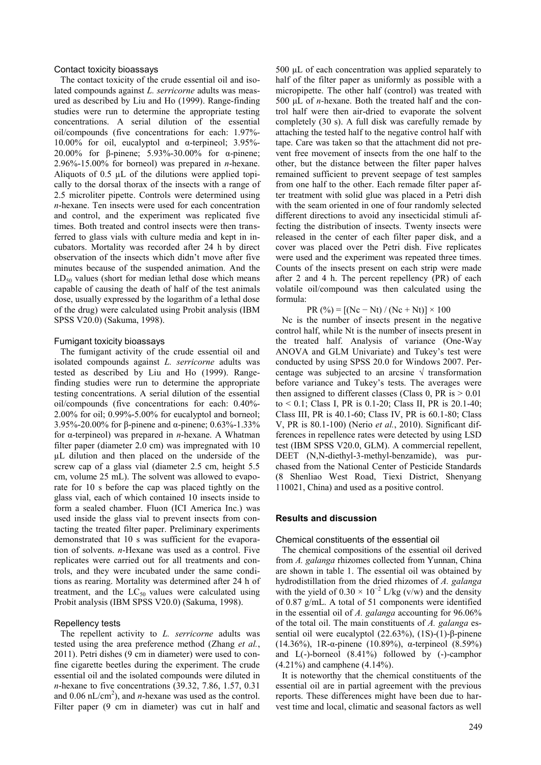#### Contact toxicity bioassays

The contact toxicity of the crude essential oil and isolated compounds against *L. serricorne* adults was measured as described by Liu and Ho (1999). Range-finding studies were run to determine the appropriate testing concentrations. A serial dilution of the essential oil/compounds (five concentrations for each: 1.97%- 10.00% for oil, eucalyptol and α-terpineol; 3.95%- 20.00% for β-pinene; 5.93%-30.00% for α-pinene; 2.96%-15.00% for borneol) was prepared in *n*-hexane. Aliquots of 0.5 µL of the dilutions were applied topically to the dorsal thorax of the insects with a range of 2.5 microliter pipette. Controls were determined using *n*-hexane. Ten insects were used for each concentration and control, and the experiment was replicated five times. Both treated and control insects were then transferred to glass vials with culture media and kept in incubators. Mortality was recorded after 24 h by direct observation of the insects which didn't move after five minutes because of the suspended animation. And the  $LD_{50}$  values (short for median lethal dose which means capable of causing the death of half of the test animals dose, usually expressed by the logarithm of a lethal dose of the drug) were calculated using Probit analysis (IBM SPSS V20.0) (Sakuma, 1998).

#### Fumigant toxicity bioassays

The fumigant activity of the crude essential oil and isolated compounds against *L. serricorne* adults was tested as described by Liu and Ho (1999). Rangefinding studies were run to determine the appropriate testing concentrations. A serial dilution of the essential oil/compounds (five concentrations for each: 0.40%- 2.00% for oil; 0.99%-5.00% for eucalyptol and borneol; 3.95%-20.00% for β-pinene and α-pinene; 0.63%-1.33% for α-terpineol) was prepared in *n*-hexane. A Whatman filter paper (diameter 2.0 cm) was impregnated with 10 µL dilution and then placed on the underside of the screw cap of a glass vial (diameter 2.5 cm, height 5.5 cm, volume 25 mL). The solvent was allowed to evaporate for 10 s before the cap was placed tightly on the glass vial, each of which contained 10 insects inside to form a sealed chamber. Fluon (ICI America Inc.) was used inside the glass vial to prevent insects from contacting the treated filter paper. Preliminary experiments demonstrated that 10 s was sufficient for the evaporation of solvents. *n*-Hexane was used as a control. Five replicates were carried out for all treatments and controls, and they were incubated under the same conditions as rearing. Mortality was determined after 24 h of treatment, and the  $LC_{50}$  values were calculated using Probit analysis (IBM SPSS V20.0) (Sakuma, 1998).

## Repellency tests

The repellent activity to *L. serricorne* adults was tested using the area preference method (Zhang *et al.*, 2011). Petri dishes (9 cm in diameter) were used to confine cigarette beetles during the experiment. The crude essential oil and the isolated compounds were diluted in *n*-hexane to five concentrations (39.32, 7.86, 1.57, 0.31 and  $0.06$  nL/cm<sup>2</sup>), and *n*-hexane was used as the control. Filter paper (9 cm in diameter) was cut in half and

500 μL of each concentration was applied separately to half of the filter paper as uniformly as possible with a micropipette. The other half (control) was treated with 500 μL of *n*-hexane. Both the treated half and the control half were then air-dried to evaporate the solvent completely (30 s). A full disk was carefully remade by attaching the tested half to the negative control half with tape. Care was taken so that the attachment did not prevent free movement of insects from the one half to the other, but the distance between the filter paper halves remained sufficient to prevent seepage of test samples from one half to the other. Each remade filter paper after treatment with solid glue was placed in a Petri dish with the seam oriented in one of four randomly selected different directions to avoid any insecticidal stimuli affecting the distribution of insects. Twenty insects were released in the center of each filter paper disk, and a cover was placed over the Petri dish. Five replicates were used and the experiment was repeated three times. Counts of the insects present on each strip were made after 2 and 4 h. The percent repellency (PR) of each volatile oil/compound was then calculated using the formula:

PR  $(\% ) = [(Nc - Nt) / (Nc + Nt)] \times 100$ 

Nc is the number of insects present in the negative control half, while Nt is the number of insects present in the treated half. Analysis of variance (One-Way ANOVA and GLM Univariate) and Tukey's test were conducted by using SPSS 20.0 for Windows 2007. Percentage was subjected to an arcsine  $\sqrt{\frac{1}{2}}$  transformation before variance and Tukey's tests. The averages were then assigned to different classes (Class 0, PR is  $> 0.01$ ) to < 0.1; Class I, PR is 0.1-20; Class II, PR is 20.1-40; Class III, PR is 40.1-60; Class IV, PR is 60.1-80; Class V, PR is 80.1-100) (Nerio *et al.*, 2010). Significant differences in repellence rates were detected by using LSD test (IBM SPSS V20.0, GLM). A commercial repellent, DEET (N,N-diethyl-3-methyl-benzamide), was purchased from the National Center of Pesticide Standards (8 Shenliao West Road, Tiexi District, Shenyang 110021, China) and used as a positive control.

#### **Results and discussion**

#### Chemical constituents of the essential oil

The chemical compositions of the essential oil derived from *A. galanga* rhizomes collected from Yunnan, China are shown in table 1. The essential oil was obtained by hydrodistillation from the dried rhizomes of *A. galanga* with the yield of  $0.30 \times 10^{-2}$  L/kg (v/w) and the density of 0.87 g/mL. A total of 51 components were identified in the essential oil of *A. galanga* accounting for 96.06% of the total oil. The main constituents of *A. galanga* essential oil were eucalyptol (22.63%), (1S)-(1)-β-pinene (14.36%), 1R-α-pinene (10.89%), α-terpineol (8.59%) and  $L(-)$ -borneol  $(8.41\%)$  followed by  $(-)$ -camphor (4.21%) and camphene (4.14%).

It is noteworthy that the chemical constituents of the essential oil are in partial agreement with the previous reports. These differences might have been due to harvest time and local, climatic and seasonal factors as well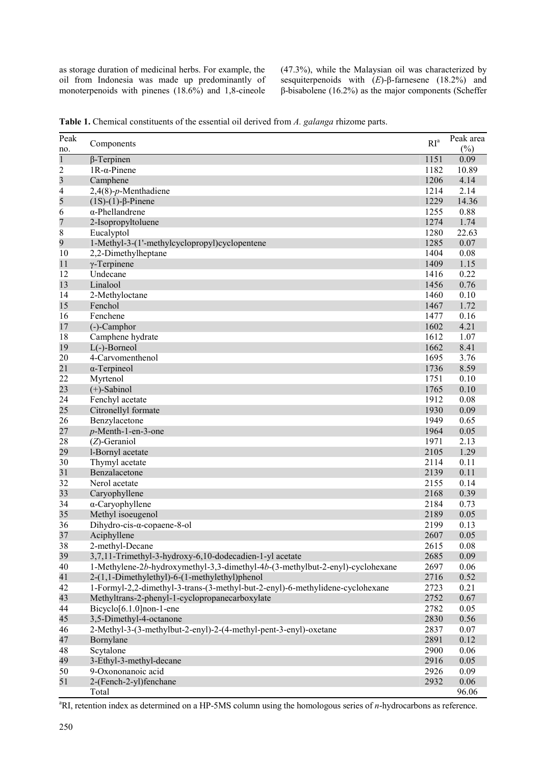as storage duration of medicinal herbs. For example, the oil from Indonesia was made up predominantly of monoterpenoids with pinenes (18.6%) and 1,8-cineole (47.3%), while the Malaysian oil was characterized by sesquiterpenoids with (*E*)-β-farnesene (18.2%) and β-bisabolene (16.2%) as the major components (Scheffer

| Peak                                               | Components                                                                                                                     | RI <sup>a</sup> | Peak area      |
|----------------------------------------------------|--------------------------------------------------------------------------------------------------------------------------------|-----------------|----------------|
| no.                                                |                                                                                                                                |                 | $(\%)$<br>0.09 |
| $\mathbf{1}$                                       | $\beta$ -Terpinen                                                                                                              | 1151            | 10.89          |
| $\overline{\mathbf{c}}$<br>$\overline{\mathbf{3}}$ | $1R-\alpha$ -Pinene                                                                                                            | 1182<br>1206    | 4.14           |
| 4                                                  | Camphene<br>$2,4(8)$ -p-Menthadiene                                                                                            | 1214            | 2.14           |
| 5                                                  | $(1S)-(1)$ - $\beta$ -Pinene                                                                                                   | 1229            | 14.36          |
| 6                                                  | $\alpha$ -Phellandrene                                                                                                         | 1255            | 0.88           |
| 7                                                  | 2-Isopropyltoluene                                                                                                             | 1274            | 1.74           |
| 8                                                  | Eucalyptol                                                                                                                     | 1280            | 22.63          |
| 9                                                  | 1-Methyl-3-(1'-methylcyclopropyl)cyclopentene                                                                                  | 1285            | 0.07           |
| 10                                                 | 2,2-Dimethylheptane                                                                                                            | 1404            | 0.08           |
| 11                                                 | $\gamma$ -Terpinene                                                                                                            | 1409            | 1.15           |
| 12                                                 | Undecane                                                                                                                       | 1416            | 0.22           |
| 13                                                 | Linalool                                                                                                                       | 1456            | 0.76           |
| 14                                                 | 2-Methyloctane                                                                                                                 | 1460            | 0.10           |
| 15                                                 | Fenchol                                                                                                                        | 1467            | 1.72           |
| 16                                                 | Fenchene                                                                                                                       | 1477            | 0.16           |
| 17                                                 | $(-)$ -Camphor                                                                                                                 | 1602            | 4.21           |
| 18                                                 | Camphene hydrate                                                                                                               | 1612            | 1.07           |
| 19                                                 | $L(-)$ -Borneol                                                                                                                | 1662            | 8.41           |
| 20                                                 | 4-Carvomenthenol                                                                                                               | 1695            | 3.76           |
| 21                                                 | $\alpha$ -Terpineol                                                                                                            | 1736            | 8.59           |
| 22                                                 | Myrtenol                                                                                                                       | 1751            | 0.10           |
| 23                                                 | $(+)$ -Sabinol                                                                                                                 | 1765            | 0.10           |
| 24                                                 | Fenchyl acetate                                                                                                                | 1912            | 0.08           |
| 25                                                 | Citronellyl formate                                                                                                            | 1930            | 0.09           |
| 26                                                 | Benzylacetone                                                                                                                  | 1949            | 0.65           |
| 27                                                 | $p$ -Menth-1-en-3-one                                                                                                          | 1964            | 0.05           |
| 28                                                 | $(Z)$ -Geraniol                                                                                                                | 1971            | 2.13           |
| 29                                                 | l-Bornyl acetate                                                                                                               | 2105            | 1.29           |
| 30                                                 | Thymyl acetate                                                                                                                 | 2114            | 0.11           |
| 31                                                 | Benzalacetone                                                                                                                  | 2139            | 0.11           |
| 32                                                 | Nerol acetate                                                                                                                  | 2155            | 0.14           |
| 33                                                 | Caryophyllene                                                                                                                  | 2168            | 0.39           |
| 34                                                 | $\alpha$ -Caryophyllene                                                                                                        | 2184            | 0.73           |
| 35                                                 | Methyl isoeugenol                                                                                                              | 2189            | 0.05           |
| 36                                                 | Dihydro-cis- $\alpha$ -copaene-8-ol                                                                                            | 2199            | 0.13           |
| 37                                                 | Aciphyllene                                                                                                                    | 2607            | 0.05           |
| 38                                                 | 2-methyl-Decane                                                                                                                | 2615            | 0.08           |
| 39                                                 | 3,7,11-Trimethyl-3-hydroxy-6,10-dodecadien-1-yl acetate                                                                        | 2685            | 0.09           |
| 40                                                 | 1-Methylene-2b-hydroxymethyl-3,3-dimethyl-4b-(3-methylbut-2-enyl)-cyclohexane<br>2-(1,1-Dimethylethyl)-6-(1-methylethyl)phenol | 2697            | 0.06           |
| 41<br>42                                           | 1-Formyl-2,2-dimethyl-3-trans-(3-methyl-but-2-enyl)-6-methylidene-cyclohexane                                                  | 2716<br>2723    | 0.52<br>0.21   |
| 43                                                 | Methyltrans-2-phenyl-1-cyclopropanecarboxylate                                                                                 | 2752            | 0.67           |
| 44                                                 | $Bicyclo[6.1.0]non-1-ene$                                                                                                      | 2782            | 0.05           |
| 45                                                 | 3,5-Dimethyl-4-octanone                                                                                                        | 2830            | 0.56           |
| 46                                                 | 2-Methyl-3-(3-methylbut-2-enyl)-2-(4-methyl-pent-3-enyl)-oxetane                                                               | 2837            | 0.07           |
| 47                                                 | Bornylane                                                                                                                      | 2891            | 0.12           |
| 48                                                 | Scytalone                                                                                                                      | 2900            | 0.06           |
| 49                                                 | 3-Ethyl-3-methyl-decane                                                                                                        | 2916            | 0.05           |
| 50                                                 | 9-Oxononanoic acid                                                                                                             | 2926            | 0.09           |
| 51                                                 | 2-(Fench-2-yl)fenchane                                                                                                         | 2932            | 0.06           |
|                                                    | Total                                                                                                                          |                 | 96.06          |

**Table 1.** Chemical constituents of the essential oil derived from *A. galanga* rhizome parts.

<sup>a</sup>RI, retention index as determined on a HP-5MS column using the homologous series of *n*-hydrocarbons as reference.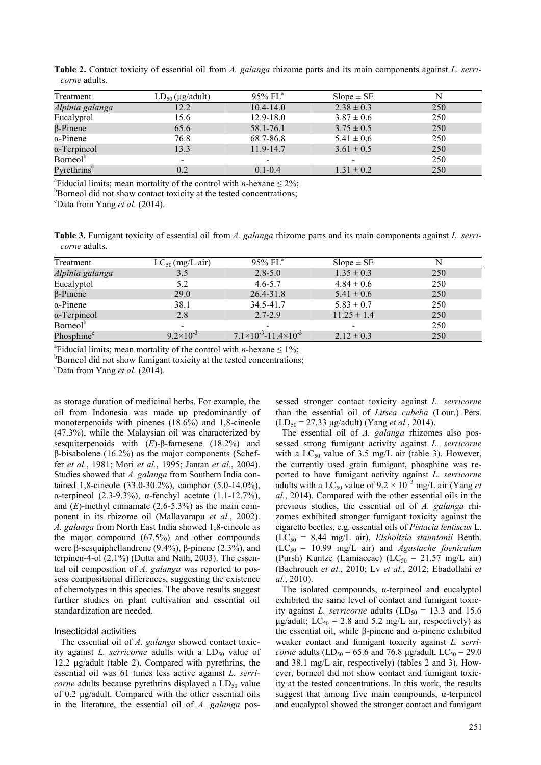| Treatment               | $LD_{50}$ (µg/adult) | $95\%$ FL <sup>a</sup>   | $Slope \pm SE$ |     |
|-------------------------|----------------------|--------------------------|----------------|-----|
| Alpinia galanga         | 12.2                 | $10.4 - 14.0$            | $2.38 \pm 0.3$ | 250 |
| Eucalyptol              | 15.6                 | $12.9 - 18.0$            | $3.87 \pm 0.6$ | 250 |
| $\beta$ -Pinene         | 65.6                 | 58.1-76.1                | $3.75 \pm 0.5$ | 250 |
| $\alpha$ -Pinene        | 76.8                 | 68.7-86.8                | $5.41 \pm 0.6$ | 250 |
| $\alpha$ -Terpineol     | 13.3                 | 11.9-14.7                | $3.61 \pm 0.5$ | 250 |
| Borneol <sup>b</sup>    | $\blacksquare$       | $\overline{\phantom{0}}$ | $\blacksquare$ | 250 |
| Pyrethrins <sup>c</sup> | 0.2                  | $0.1 - 0.4$              | $1.31 \pm 0.2$ | 250 |

**Table 2.** Contact toxicity of essential oil from *A. galanga* rhizome parts and its main components against *L. serricorne* adults.

<sup>a</sup> Fiducial limits; mean mortality of the control with *n*-hexane  $\leq 2\%$ ;

<sup>b</sup>Borneol did not show contact toxicity at the tested concentrations;

<sup>c</sup>Data from Yang *et al.* (2014).

**Table 3.** Fumigant toxicity of essential oil from *A. galanga* rhizome parts and its main components against *L. serricorne* adults.

| Treatment              | $LC_{50}$ (mg/L air) | $95\%$ FL <sup>a</sup>                    | $Slope \pm SE$  |     |
|------------------------|----------------------|-------------------------------------------|-----------------|-----|
| Alpinia galanga        | 3.5                  | $2.8 - 5.0$                               | $1.35 \pm 0.3$  | 250 |
| Eucalyptol             | 5.2                  | $4.6 - 5.7$                               | $4.84 \pm 0.6$  | 250 |
| $\beta$ -Pinene        | 29.0                 | 26.4-31.8                                 | $5.41 \pm 0.6$  | 250 |
| $\alpha$ -Pinene       | 38.1                 | 34.5-41.7                                 | $5.83 \pm 0.7$  | 250 |
| $\alpha$ -Terpineol    | 2.8                  | $2.7 - 2.9$                               | $11.25 \pm 1.4$ | 250 |
| Borneol <sup>b</sup>   | $\qquad \qquad$      |                                           |                 | 250 |
| Phosphine <sup>c</sup> | $9.2\times10^{-3}$   | $7.1\times10^{-3}$ -11.4×10 <sup>-3</sup> | $2.12 \pm 0.3$  | 250 |

<sup>a</sup> Fiducial limits; mean mortality of the control with *n*-hexane  $\leq 1\%$ ;

 $b_{\rm Borneol}$  did not show fumigant toxicity at the tested concentrations;

<sup>c</sup>Data from Yang et al. (2014).

as storage duration of medicinal herbs. For example, the oil from Indonesia was made up predominantly of monoterpenoids with pinenes (18.6%) and 1,8-cineole (47.3%), while the Malaysian oil was characterized by sesquiterpenoids with (*E*)-β-farnesene (18.2%) and β-bisabolene (16.2%) as the major components (Scheffer *et al.*, 1981; Mori *et al.*, 1995; Jantan *et al.*, 2004). Studies showed that *A. galanga* from Southern India contained 1,8-cineole (33.0-30.2%), camphor (5.0-14.0%), α-terpineol (2.3-9.3%), α-fenchyl acetate (1.1-12.7%), and  $(E)$ -methyl cinnamate  $(2.6-5.3%)$  as the main component in its rhizome oil (Mallavarapu *et al.*, 2002). *A. galanga* from North East India showed 1,8-cineole as the major compound (67.5%) and other compounds were β-sesquiphellandrene (9.4%), β-pinene (2.3%), and terpinen-4-ol (2.1%) (Dutta and Nath, 2003). The essential oil composition of *A. galanga* was reported to possess compositional differences, suggesting the existence of chemotypes in this species. The above results suggest further studies on plant cultivation and essential oil standardization are needed.

#### Insecticidal activities

The essential oil of *A. galanga* showed contact toxicity against *L. serricorne* adults with a  $LD_{50}$  value of 12.2 μg/adult (table 2). Compared with pyrethrins, the essential oil was 61 times less active against *L. serricorne* adults because pyrethrins displayed a LD<sub>50</sub> value of 0.2 μg/adult. Compared with the other essential oils in the literature, the essential oil of *A. galanga* pos-

sessed stronger contact toxicity against *L. serricorne* than the essential oil of *Litsea cubeba* (Lour.) Pers. (LD<sup>50</sup> = 27.33 μg/adult) (Yang *et al.*, 2014).

The essential oil of *A. galanga* rhizomes also possessed strong fumigant activity against *L. serricorne* with a  $LC_{50}$  value of 3.5 mg/L air (table 3). However, the currently used grain fumigant, phosphine was reported to have fumigant activity against *L. serricorne* adults with a LC<sub>50</sub> value of 9.2  $\times$  10<sup>-3</sup> mg/L air (Yang *et al.*, 2014). Compared with the other essential oils in the previous studies, the essential oil of *A. galanga* rhizomes exhibited stronger fumigant toxicity against the cigarette beetles, e.g. essential oils of *Pistacia lentiscus* L.  $(LC_{50} = 8.44 \text{ mg/L air})$ , *Elsholtzia stauntonii* Benth.  $(LC_{50} = 10.99 \text{ mg/L air})$  and *Agastache foeniculum* (Pursh) Kuntze (Lamiaceae) (LC<sub>50</sub> = 21.57 mg/L air) (Bachrouch *et al.*, 2010; Lv *et al.*, 2012; Ebadollahi *et al.*, 2010).

The isolated compounds, α-terpineol and eucalyptol exhibited the same level of contact and fumigant toxicity against *L. serricorne* adults  $(LD_{50} = 13.3$  and 15.6  $\mu$ g/adult; LC<sub>50</sub> = 2.8 and 5.2 mg/L air, respectively) as the essential oil, while β-pinene and  $α$ -pinene exhibited weaker contact and fumigant toxicity against *L. serricorne* adults  $(LD_{50} = 65.6$  and 76.8 μg/adult,  $LC_{50} = 29.0$ and 38.1 mg/L air, respectively) (tables 2 and 3). However, borneol did not show contact and fumigant toxicity at the tested concentrations. In this work, the results suggest that among five main compounds, α-terpineol and eucalyptol showed the stronger contact and fumigant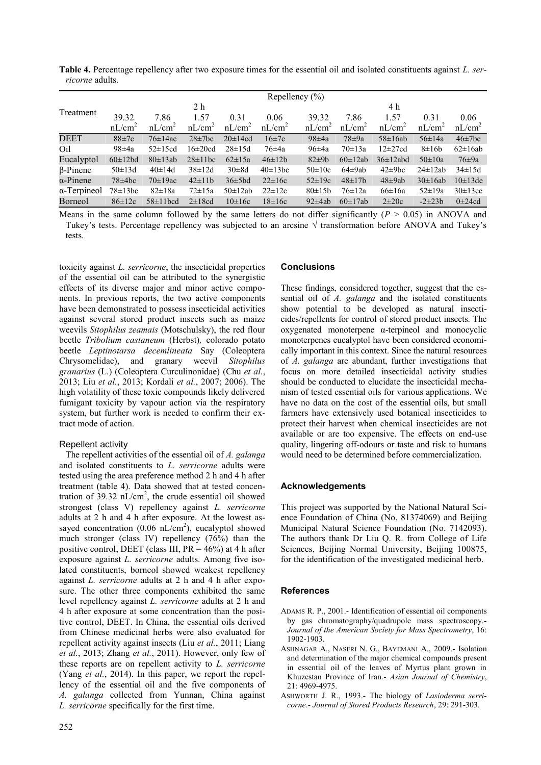**Table 4.** Percentage repellency after two exposure times for the essential oil and isolated constituents against *L. serricorne* adults.

|                     | Repellency $(\% )$ |                    |              |                    |                    |              |               |               |              |              |
|---------------------|--------------------|--------------------|--------------|--------------------|--------------------|--------------|---------------|---------------|--------------|--------------|
|                     |                    |                    | 2 h          |                    |                    |              |               | 4 h           |              |              |
| Treatment           | 39.32              | 7.86               | 1.57         | 0.31               | 0.06               | 39.32        | 7.86          | 1.57          | 0.31         | 0.06         |
|                     | nL/cm <sup>2</sup> | nL/cm <sup>2</sup> | $nL/cm^2$    | nL/cm <sup>2</sup> | nL/cm <sup>2</sup> | $nL/cm^2$    | $nL/cm^2$     | $nL/cm^2$     | $nL/cm^2$    | $nL/cm^2$    |
| <b>DEET</b>         | $88 \pm 7c$        | $76\pm14ac$        | $28\pm7$ bc  | $20\pm14cd$        | $16\pm7c$          | $98\pm4a$    | $78\pm9a$     | $58\pm 16ab$  | $56 \pm 14a$ | $46\pm7$ bc  |
| Oil                 | $98\pm4a$          | $52 \pm 15$ cd     | $16\pm20cd$  | $28 \pm 15d$       | $76\pm4a$          | $96\pm4a$    | $70 \pm 13a$  | $12\pm27cd$   | $8\pm16b$    | $62\pm16ab$  |
| Eucalyptol          | $60\pm12bd$        | $80\pm13ab$        | $28\pm11bc$  | $62 \pm 15a$       | $46 \pm 12b$       | $82\pm9b$    | $60\pm12ab$   | $36\pm12$ abd | $50\pm10a$   | $76\pm9a$    |
| $\beta$ -Pinene     | $50 \pm 13d$       | $40 \pm 14$ d      | $38 \pm 12d$ | $30\pm8d$          | $40\pm13bc$        | $50\pm10c$   | $64\pm9ab$    | $42\pm9bc$    | $24\pm 12ab$ | $34 \pm 15d$ |
| $\alpha$ -Pinene    | $78\pm4$ bc        | $70\pm19$ ac       | $42 \pm 11b$ | $36\pm5bd$         | $22\pm16c$         | $52 \pm 19c$ | $48 \pm 17$ b | $48\pm9ab$    | $30\pm16ab$  | $10\pm13$ de |
| $\alpha$ -Terpineol | $78 \pm 13$ bc     | $82 \pm 18a$       | $72 \pm 15a$ | $50\pm12ab$        | $22 \pm 12c$       | $80 \pm 15b$ | $76 \pm 12a$  | $66\pm16a$    | $52 \pm 19a$ | $30\pm13$ ce |
| Borneol             | $86 \pm 12c$       | $58\pm11$ bcd      | $2\pm18cd$   | $10\pm16c$         | $18\pm16c$         | $92\pm4ab$   | $60\pm17ab$   | $2\pm20c$     | $-2\pm 23b$  | $0\pm 24cd$  |

Means in the same column followed by the same letters do not differ significantly  $(P > 0.05)$  in ANOVA and Tukey's tests. Percentage repellency was subjected to an arcsine  $\sqrt{ }$  transformation before ANOVA and Tukey's tests.

toxicity against *L. serricorne*, the insecticidal properties of the essential oil can be attributed to the synergistic effects of its diverse major and minor active components. In previous reports, the two active components have been demonstrated to possess insecticidal activities against several stored product insects such as maize weevils *Sitophilus zeamais* (Motschulsky), the red flour beetle *Tribolium castaneum* (Herbst)*,* colorado potato beetle *Leptinotarsa decemlineata* Say (Coleoptera Chrysomelidae), and granary weevil *Sitophilus granarius* (L.) (Coleoptera Curculinonidae) (Chu *et al.*, 2013; Liu *et al.*, 2013; Kordali *et al.*, 2007; 2006). The high volatility of these toxic compounds likely delivered fumigant toxicity by vapour action via the respiratory system, but further work is needed to confirm their extract mode of action.

## Repellent activity

The repellent activities of the essential oil of *A. galanga* and isolated constituents to *L. serricorne* adults were tested using the area preference method 2 h and 4 h after treatment (table 4). Data showed that at tested concentration of  $39.32 \text{ nL/cm}^2$ , the crude essential oil showed strongest (class V) repellency against *L. serricorne*  adults at 2 h and 4 h after exposure. At the lowest assayed concentration  $(0.06 \text{ nL/cm}^2)$ , eucalyptol showed much stronger (class IV) repellency (76%) than the positive control, DEET (class III,  $PR = 46\%$ ) at 4 h after exposure against *L. serricorne* adults. Among five isolated constituents, borneol showed weakest repellency against *L. serricorne* adults at 2 h and 4 h after exposure. The other three components exhibited the same level repellency against *L. serricorne* adults at 2 h and 4 h after exposure at some concentration than the positive control, DEET. In China, the essential oils derived from Chinese medicinal herbs were also evaluated for repellent activity against insects (Liu *et al.*, 2011; Liang *et al.*, 2013; Zhang *et al.*, 2011). However, only few of these reports are on repellent activity to *L. serricorne* (Yang *et al.*, 2014). In this paper, we report the repellency of the essential oil and the five components of *A. galanga* collected from Yunnan, China against *L. serricorne* specifically for the first time.

## **Conclusions**

These findings, considered together, suggest that the essential oil of *A. galanga* and the isolated constituents show potential to be developed as natural insecticides/repellents for control of stored product insects. The oxygenated monoterpene α-terpineol and monocyclic monoterpenes eucalyptol have been considered economically important in this context. Since the natural resources of *A. galanga* are abundant, further investigations that focus on more detailed insecticidal activity studies should be conducted to elucidate the insecticidal mechanism of tested essential oils for various applications. We have no data on the cost of the essential oils, but small farmers have extensively used botanical insecticides to protect their harvest when chemical insecticides are not available or are too expensive. The effects on end-use quality, lingering off-odours or taste and risk to humans would need to be determined before commercialization.

## **Acknowledgements**

This project was supported by the National Natural Science Foundation of China (No. 81374069) and Beijing Municipal Natural Science Foundation (No. 7142093). The authors thank Dr Liu Q. R. from College of Life Sciences, Beijing Normal University, Beijing 100875, for the identification of the investigated medicinal herb.

## **References**

- ADAMS R. P., 2001.- Identification of essential oil components by gas chromatography/quadrupole mass spectroscopy.- *Journal of the American Society for Mass Spectrometry*, 16: 1902-1903.
- ASHNAGAR A., NASERI N. G., BAYEMANI A., 2009.- Isolation and determination of the major chemical compounds present in essential oil of the leaves of Myrtus plant grown in Khuzestan Province of Iran.- *Asian Journal of Chemistry*, 21: 4969-4975.
- ASHWORTH J. R., 1993.- The biology of *Lasioderma serricorne*.- *Journal of Stored Products Research*, 29: 291-303.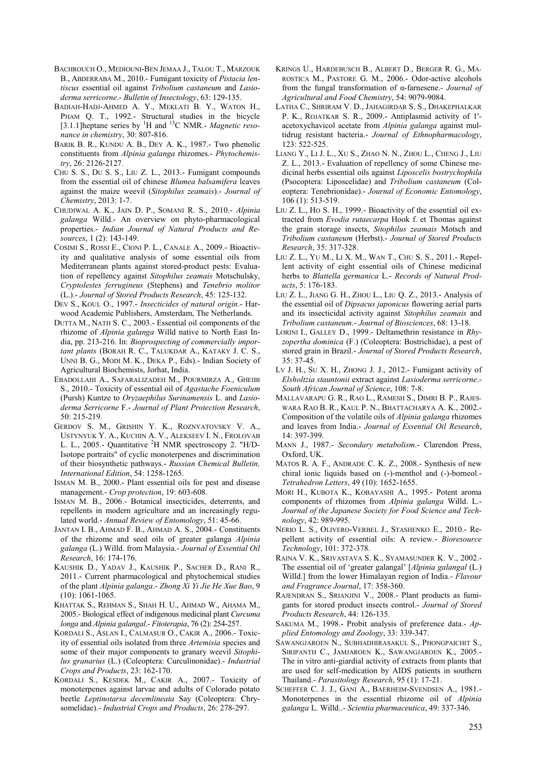- BACHROUCH O., MEDIOUNI-BEN JEMAA J., TALOU T., MARZOUK B., ABDERRABA M., 2010.- Fumigant toxicity of *Pistacia lentiscus* essential oil against *Tribolium castaneum* and *Lasioderma serricorne*.- *Bulletin of Insectology*, 63: 129-135.
- BADIAH-HADJ-AHMED A. Y., MEKLATI B. Y., WATON H., PHAM Q. T., 1992.- Structural studies in the bicycle [3.1.1]heptane series by <sup>1</sup>H and <sup>13</sup>C NMR.- *Magnetic resonance in chemistry*, 30: 807-816.
- BARIK B. R., KUNDU A. B., DEY A. K., 1987.- Two phenolic constituents from *Alpinia galanga* rhizomes.- *Phytochemistry*, 26: 2126-2127.
- CHU S. S., DU S. S., LIU Z. L., 2013.- Fumigant compounds from the essential oil of chinese *Blumea balsamifera* leaves against the maize weevil (*Sitophilus zeamais*).- *Journal of Chemistry*, 2013: 1-7.
- CHUDIWAL A. K., JAIN D. P., SOMANI R. S., 2010.- *Alpinia galanga* Willd.- An overview on phyto-pharmacological properties.- *Indian Journal of Natural Products and Resources*, 1 (2): 143-149.
- COSIMI S., ROSSI E., CIONI P. L., CANALE A., 2009.- Bioactivity and qualitative analysis of some essential oils from Mediterranean plants against stored-product pests: Evaluation of repellency against *Sitophilus zeamais* Motschulsky, *Cryptolestes ferrugineus* (Stephens) and *Tenebrio molitor* (L.).- *Journal of Stored Products Research*, 45: 125-132.
- DEV S., KOUL O., 1997.- *Insecticides of natural origin*.- Harwood Academic Publishers, Amsterdam, The Netherlands.
- DUTTA M., NATH S. C., 2003.- Essential oil components of the rhizome of *Alpinia galanga* Willd native to North East India, pp. 213-216. In: *Bioprospecting of commercially important plants* (BORAH R. C., TALUKDAR A., KATAKY J. C. S., UNNI B. G., MODI M. K., DEKA P., Eds).- Indian Society of Agricultural Biochemists, Jorhat, India.
- EBADOLLAHI A., SAFARALIZADEH M., POURMIRZA A., GHEIBI S., 2010.- Toxicity of essential oil of *Agastache Foeniculum* (Pursh) Kuntze to *Oryzaephilus Surinamensis* L. and *Lasioderma Serricorne* F.- *Journal of Plant Protection Research*, 50: 215-219.
- GERDOV S. M., GRISHIN Y. K., ROZNYATOVSKY V. A., USTYNYUK Y. A., KUCHIN A. V., ALEKSEEV I. N., FROLOVAB L. L., 2005.- Quantitative <sup>2</sup>H NMR spectroscopy 2. "H/D-Isotope portraits" of cyclic monoterpenes and discrimination of their biosynthetic pathways.- *Russian Chemical Bulletin, International Edition*, 54: 1258-1265.
- ISMAN M. B., 2000.- Plant essential oils for pest and disease management.- *Crop protection*, 19: 603-608.
- ISMAN M. B., 2006.- Botanical insecticides, deterrents, and repellents in modern agriculture and an increasingly regulated world.- *Annual Review of Entomology*, 51: 45-66.
- JANTAN I. B., AHMAD F. B., AHMAD A. S., 2004.- Constituents of the rhizome and seed oils of greater galanga *Alpinia galanga* (L.) Willd. from Malaysia.- *Journal of Essential Oil Research*, 16: 174-176.
- KAUSHIK D., YADAV J., KAUSHIK P., SACHER D., RANI R., 2011.- Current pharmacological and phytochemical studies of the plant *Alpinia galanga*.- *Zhong Xi Yi Jie He Xue Bao*, 9 (10): 1061-1065.
- KHATTAK S., REHMAN S., SHAH H. U., AHMAD W., AHAMA M., 2005.- Biological effect of indigenous medicinal plant *Curcuma longa* and *Alpinia galangal*.- *Fitoterapia*, 76 (2): 254-257.
- KORDALI S., ASLAN I., CALMASUR O., CAKIR A., 2006.- Toxicity of essential oils isolated from three *Artemisia* species and some of their major components to granary weevil *Sitophilus granarius* (L.) (Coleoptera: Curculinonidae).- *Industrial Crops and Products*, 23: 162-170.
- KORDALI S., KESDEK M., CAKIR A., 2007.- Toxicity of monoterpenes against larvae and adults of Colorado potato beetle *Leptinotarsa decemlineata* Say (Coleoptera: Chrysomelidae).- *Industrial Crops and Products*, 26: 278-297.
- KRINGS U., HARDEBUSCH B., ALBERT D., BERGER R. G., MA-ROSTICA M., PASTORE G. M., 2006.- Odor-active alcohols from the fungal transformation of α-farnesene.- *Journal of Agricultural and Food Chemistry*, 54: 9079-9084.
- LATHA C., SHRIRAM V. D., JAHAGIRDAR S. S., DHAKEPHALKAR P. K., ROJATKAR S. R., 2009.- Antiplasmid activity of 1' acetoxychavicol acetate from *Alpinia galanga* against multidrug resistant bacteria.- *Journal of Ethnopharmacology*, 123: 522-525.
- LIANG Y., LI J. L., XU S., ZHAO N. N., ZHOU L., CHENG J., LIU Z. L., 2013.- Evaluation of repellency of some Chinese medicinal herbs essential oils against *Liposcelis bostrychophila* (Psocoptera: Liposcelidae) and *Tribolium castaneum* (Coleoptera: Tenebrionidae).- *Journal of Economic Entomology*, 106 (1): 513-519.
- LIU Z. L., HO S. H., 1999.- Bioactivity of the essential oil extracted from *Evodia rutaecarpa* Hook f. et Thomas against the grain storage insects, *Sitophilus zeamais* Motsch and *Tribolium castaneum* (Herbst).- *Journal of Stored Products Research*, 35: 317-328.
- LIU Z. L., YU M., LI X. M., WAN T., CHU S. S., 2011.- Repellent activity of eight essential oils of Chinese medicinal herbs to *Blattella germanica* L.- *Records of Natural Products*, 5: 176-183.
- LIU Z. L., JIANG G. H., ZHOU L., LIU Q. Z., 2013.- Analysis of the essential oil of *Dipsacus japonicus* flowering aerial parts and its insecticidal activity against *Sitophilus zeamais* and *Tribolium castaneum*.- *Journal of Biosciences*, 68: 13-18.
- LORINI I., GALLEY D., 1999.- Deltamethrin resistance in *Rhyzopertha dominica* (F.) (Coleoptera: Bostrichidae), a pest of stored grain in Brazil.- *Journal of Stored Products Research*, 35: 37-45.
- LV J. H., SU X. H., ZHONG J. J., 2012.- Fumigant activity of *Elsholtzia stauntonii* extract against *Lasioderma serricorne*.- *South African Journal of Science*, 108: 7-8.
- MALLAVARAPU G. R., RAO L., RAMESH S., DIMRI B. P., RAJES-WARA RAO B. R., KAUL P. N., BHATTACHARYA A. K., 2002.- Composition of the volatile oils of *Alpinia galanga* rhizomes and leaves from India.- *Journal of Essential Oil Research*, 14: 397-399.
- MANN J., 1987.- *Secondary metabolism*.- Clarendon Press, Oxford, UK.
- MATOS R. A. F., ANDRADE C. K. Z., 2008.- Synthesis of new chiral ionic liquids based on (-)-menthol and (-)-borneol.- *Tetrahedron Letters*, 49 (10): 1652-1655.
- MORI H., KUBOTA K., KOBAYASHI A., 1995.- Potent aroma components of rhizomes from *Alpinia galanga* Willd. L.- *Journal of the Japanese Society for Food Science and Technology*, 42: 989-995.
- NERIO L. S., OLIVERO-VERBEL J., STASHENKO E., 2010.- Repellent activity of essential oils: A review.- *Bioresource Technology*, 101: 372-378.
- RAINA V. K., SRIVASTAVA S. K., SYAMASUNDER K. V., 2002.- The essential oil of 'greater galangal' [*Alpinia galangal* (L.) Willd.] from the lower Himalayan region of India.- *Flavour and Fragrance Journal*, 17: 358-360.
- RAJENDRAN S., SRIANJINI V., 2008.- Plant products as fumigants for stored product insects control.- *Journal of Stored Products Research*, 44: 126-135.
- SAKUMA M., 1998.- Probit analysis of preference data.- *Applied Entomology and Zoology*, 33: 339-347.
- SAWANGJAROEN N., SUBHADHIRASAKUL S., PHONGPAICHIT S., SIRIPANTH C., JAMJAROEN K., SAWANGJAROEN K., 2005.- The in vitro anti-giardial activity of extracts from plants that are used for self-medication by AIDS patients in southern Thailand.- *Parasitology Research*, 95 (1): 17-21.
- SCHEFFER C. J. J., GANI A., BAERHEIM-SVENDSEN A., 1981.- Monoterpenes in the essential rhizome oil of *Alpinia galanga* L. Willd..- *Scientia pharmaceutica*, 49: 337-346.